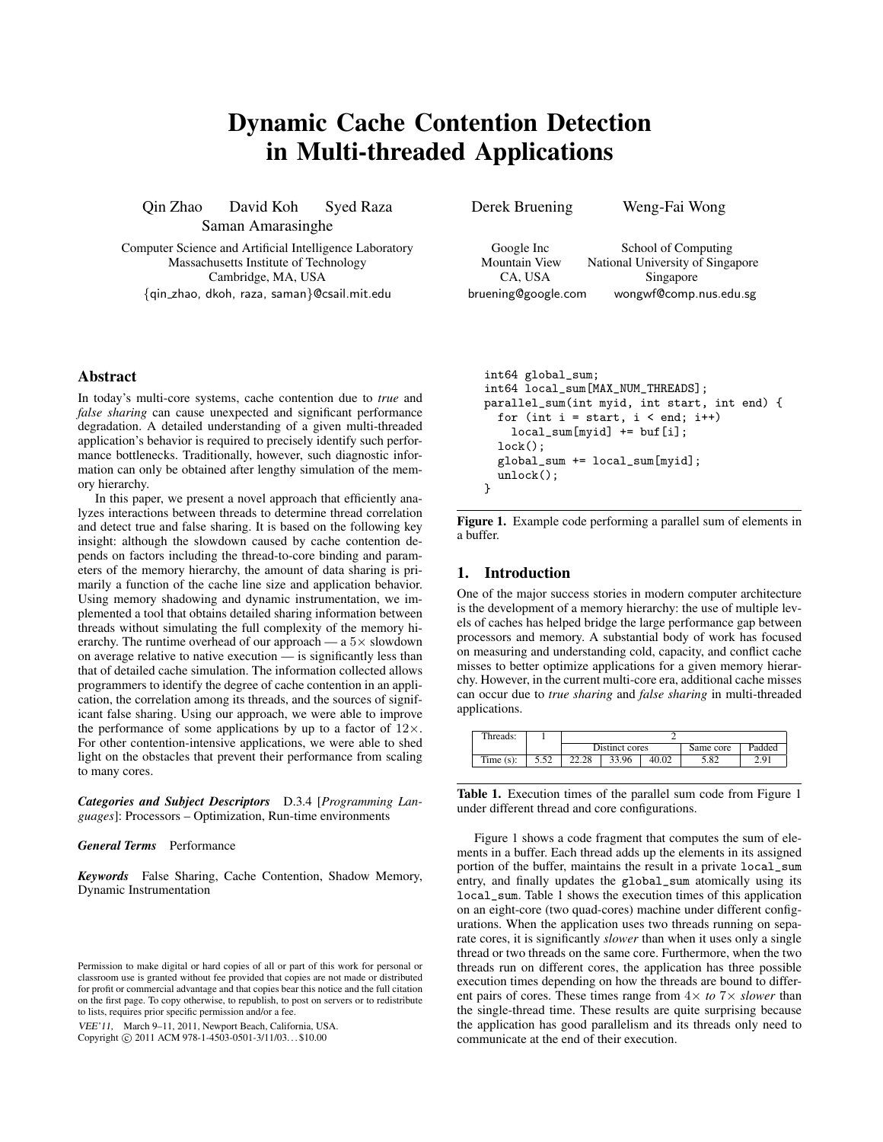# Dynamic Cache Contention Detection in Multi-threaded Applications

Qin Zhao David Koh Syed Raza Saman Amarasinghe

Computer Science and Artificial Intelligence Laboratory Massachusetts Institute of Technology Cambridge, MA, USA

{qin zhao, dkoh, raza, saman}@csail.mit.edu

# Abstract

In today's multi-core systems, cache contention due to *true* and *false sharing* can cause unexpected and significant performance degradation. A detailed understanding of a given multi-threaded application's behavior is required to precisely identify such performance bottlenecks. Traditionally, however, such diagnostic information can only be obtained after lengthy simulation of the memory hierarchy.

In this paper, we present a novel approach that efficiently analyzes interactions between threads to determine thread correlation and detect true and false sharing. It is based on the following key insight: although the slowdown caused by cache contention depends on factors including the thread-to-core binding and parameters of the memory hierarchy, the amount of data sharing is primarily a function of the cache line size and application behavior. Using memory shadowing and dynamic instrumentation, we implemented a tool that obtains detailed sharing information between threads without simulating the full complexity of the memory hierarchy. The runtime overhead of our approach — a  $5\times$  slowdown on average relative to native execution — is significantly less than that of detailed cache simulation. The information collected allows programmers to identify the degree of cache contention in an application, the correlation among its threads, and the sources of significant false sharing. Using our approach, we were able to improve the performance of some applications by up to a factor of  $12\times$ . For other contention-intensive applications, we were able to shed light on the obstacles that prevent their performance from scaling to many cores.

*Categories and Subject Descriptors* D.3.4 [*Programming Languages*]: Processors – Optimization, Run-time environments

*General Terms* Performance

*Keywords* False Sharing, Cache Contention, Shadow Memory, Dynamic Instrumentation

VEE'11, March 9–11, 2011, Newport Beach, California, USA. Copyright © 2011 ACM 978-1-4503-0501-3/11/03... \$10.00

Derek Bruening Weng-Fai Wong

| Google Inc           | School of Computing              |
|----------------------|----------------------------------|
| <b>Mountain View</b> | National University of Singapore |
| CA, USA              | Singapore                        |
| bruening@google.com  | wongwf@comp.nus.edu.sg           |

```
int64 global_sum;
int64 local_sum[MAX_NUM_THREADS];
parallel_sum(int myid, int start, int end) {
  for (int i = start, i < end; i++)local_sum[myid] += buf[i];
  lock():
  global_sum += local_sum[myid];
  unlock();
}
```
Figure 1. Example code performing a parallel sum of elements in a buffer.

# 1. Introduction

One of the major success stories in modern computer architecture is the development of a memory hierarchy: the use of multiple levels of caches has helped bridge the large performance gap between processors and memory. A substantial body of work has focused on measuring and understanding cold, capacity, and conflict cache misses to better optimize applications for a given memory hierarchy. However, in the current multi-core era, additional cache misses can occur due to *true sharing* and *false sharing* in multi-threaded applications.

| Threads: |            |                |       |           |         |      |
|----------|------------|----------------|-------|-----------|---------|------|
|          |            | Distinct cores |       | Same core | Padded  |      |
| Time(s): | $\epsilon$ |                | 33.96 | 40.02     | $\circ$ | 2.91 |

Table 1. Execution times of the parallel sum code from Figure 1 under different thread and core configurations.

Figure 1 shows a code fragment that computes the sum of elements in a buffer. Each thread adds up the elements in its assigned portion of the buffer, maintains the result in a private local\_sum entry, and finally updates the global\_sum atomically using its local\_sum. Table 1 shows the execution times of this application on an eight-core (two quad-cores) machine under different configurations. When the application uses two threads running on separate cores, it is significantly *slower* than when it uses only a single thread or two threads on the same core. Furthermore, when the two threads run on different cores, the application has three possible execution times depending on how the threads are bound to different pairs of cores. These times range from 4× *to* 7× *slower* than the single-thread time. These results are quite surprising because the application has good parallelism and its threads only need to communicate at the end of their execution.

Permission to make digital or hard copies of all or part of this work for personal or classroom use is granted without fee provided that copies are not made or distributed for profit or commercial advantage and that copies bear this notice and the full citation on the first page. To copy otherwise, to republish, to post on servers or to redistribute to lists, requires prior specific permission and/or a fee.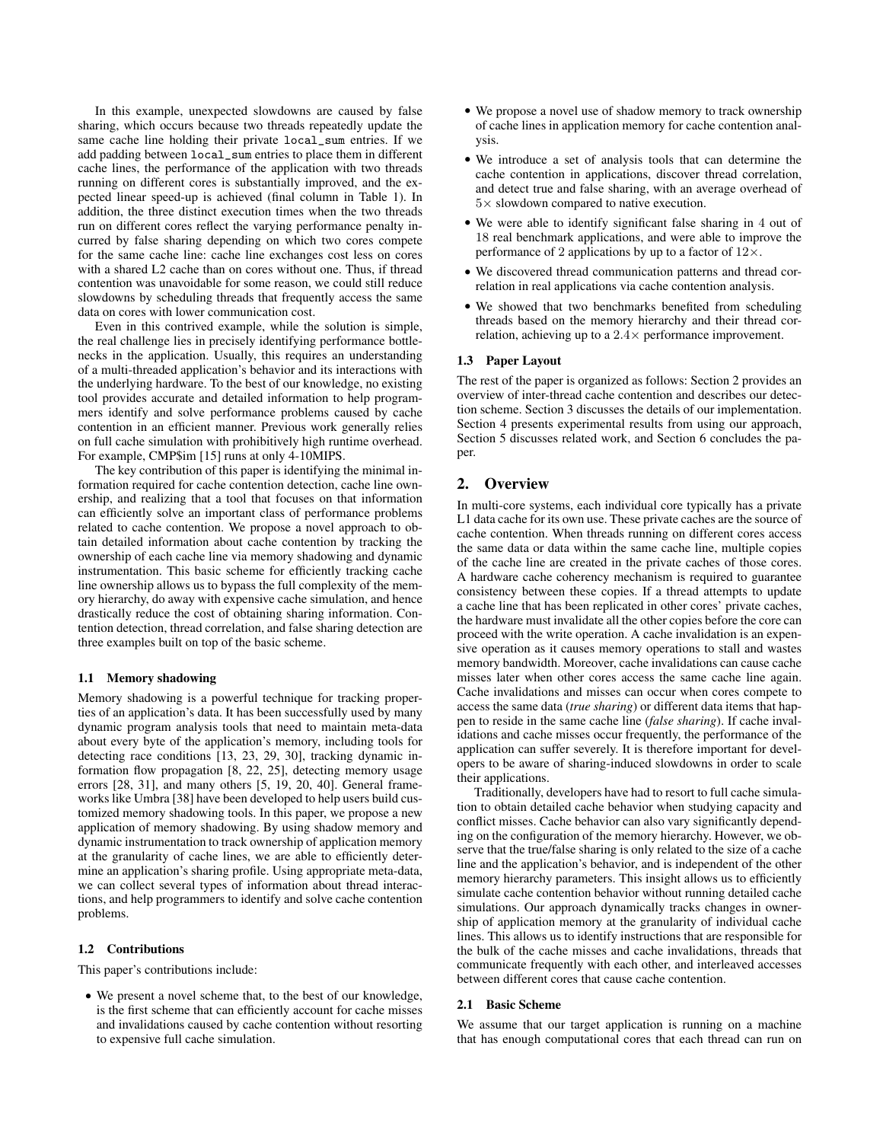In this example, unexpected slowdowns are caused by false sharing, which occurs because two threads repeatedly update the same cache line holding their private local\_sum entries. If we add padding between local\_sum entries to place them in different cache lines, the performance of the application with two threads running on different cores is substantially improved, and the expected linear speed-up is achieved (final column in Table 1). In addition, the three distinct execution times when the two threads run on different cores reflect the varying performance penalty incurred by false sharing depending on which two cores compete for the same cache line: cache line exchanges cost less on cores with a shared L2 cache than on cores without one. Thus, if thread contention was unavoidable for some reason, we could still reduce slowdowns by scheduling threads that frequently access the same data on cores with lower communication cost.

Even in this contrived example, while the solution is simple, the real challenge lies in precisely identifying performance bottlenecks in the application. Usually, this requires an understanding of a multi-threaded application's behavior and its interactions with the underlying hardware. To the best of our knowledge, no existing tool provides accurate and detailed information to help programmers identify and solve performance problems caused by cache contention in an efficient manner. Previous work generally relies on full cache simulation with prohibitively high runtime overhead. For example, CMP\$im [15] runs at only 4-10MIPS.

The key contribution of this paper is identifying the minimal information required for cache contention detection, cache line ownership, and realizing that a tool that focuses on that information can efficiently solve an important class of performance problems related to cache contention. We propose a novel approach to obtain detailed information about cache contention by tracking the ownership of each cache line via memory shadowing and dynamic instrumentation. This basic scheme for efficiently tracking cache line ownership allows us to bypass the full complexity of the memory hierarchy, do away with expensive cache simulation, and hence drastically reduce the cost of obtaining sharing information. Contention detection, thread correlation, and false sharing detection are three examples built on top of the basic scheme.

## 1.1 Memory shadowing

Memory shadowing is a powerful technique for tracking properties of an application's data. It has been successfully used by many dynamic program analysis tools that need to maintain meta-data about every byte of the application's memory, including tools for detecting race conditions [13, 23, 29, 30], tracking dynamic information flow propagation [8, 22, 25], detecting memory usage errors [28, 31], and many others [5, 19, 20, 40]. General frameworks like Umbra [38] have been developed to help users build customized memory shadowing tools. In this paper, we propose a new application of memory shadowing. By using shadow memory and dynamic instrumentation to track ownership of application memory at the granularity of cache lines, we are able to efficiently determine an application's sharing profile. Using appropriate meta-data, we can collect several types of information about thread interactions, and help programmers to identify and solve cache contention problems.

# 1.2 Contributions

This paper's contributions include:

• We present a novel scheme that, to the best of our knowledge, is the first scheme that can efficiently account for cache misses and invalidations caused by cache contention without resorting to expensive full cache simulation.

- We propose a novel use of shadow memory to track ownership of cache lines in application memory for cache contention analysis.
- We introduce a set of analysis tools that can determine the cache contention in applications, discover thread correlation, and detect true and false sharing, with an average overhead of 5× slowdown compared to native execution.
- We were able to identify significant false sharing in 4 out of 18 real benchmark applications, and were able to improve the performance of 2 applications by up to a factor of  $12\times$ .
- We discovered thread communication patterns and thread correlation in real applications via cache contention analysis.
- We showed that two benchmarks benefited from scheduling threads based on the memory hierarchy and their thread correlation, achieving up to a  $2.4\times$  performance improvement.

#### 1.3 Paper Layout

The rest of the paper is organized as follows: Section 2 provides an overview of inter-thread cache contention and describes our detection scheme. Section 3 discusses the details of our implementation. Section 4 presents experimental results from using our approach, Section 5 discusses related work, and Section 6 concludes the paper.

# 2. Overview

In multi-core systems, each individual core typically has a private L1 data cache for its own use. These private caches are the source of cache contention. When threads running on different cores access the same data or data within the same cache line, multiple copies of the cache line are created in the private caches of those cores. A hardware cache coherency mechanism is required to guarantee consistency between these copies. If a thread attempts to update a cache line that has been replicated in other cores' private caches, the hardware must invalidate all the other copies before the core can proceed with the write operation. A cache invalidation is an expensive operation as it causes memory operations to stall and wastes memory bandwidth. Moreover, cache invalidations can cause cache misses later when other cores access the same cache line again. Cache invalidations and misses can occur when cores compete to access the same data (*true sharing*) or different data items that happen to reside in the same cache line (*false sharing*). If cache invalidations and cache misses occur frequently, the performance of the application can suffer severely. It is therefore important for developers to be aware of sharing-induced slowdowns in order to scale their applications.

Traditionally, developers have had to resort to full cache simulation to obtain detailed cache behavior when studying capacity and conflict misses. Cache behavior can also vary significantly depending on the configuration of the memory hierarchy. However, we observe that the true/false sharing is only related to the size of a cache line and the application's behavior, and is independent of the other memory hierarchy parameters. This insight allows us to efficiently simulate cache contention behavior without running detailed cache simulations. Our approach dynamically tracks changes in ownership of application memory at the granularity of individual cache lines. This allows us to identify instructions that are responsible for the bulk of the cache misses and cache invalidations, threads that communicate frequently with each other, and interleaved accesses between different cores that cause cache contention.

# 2.1 Basic Scheme

We assume that our target application is running on a machine that has enough computational cores that each thread can run on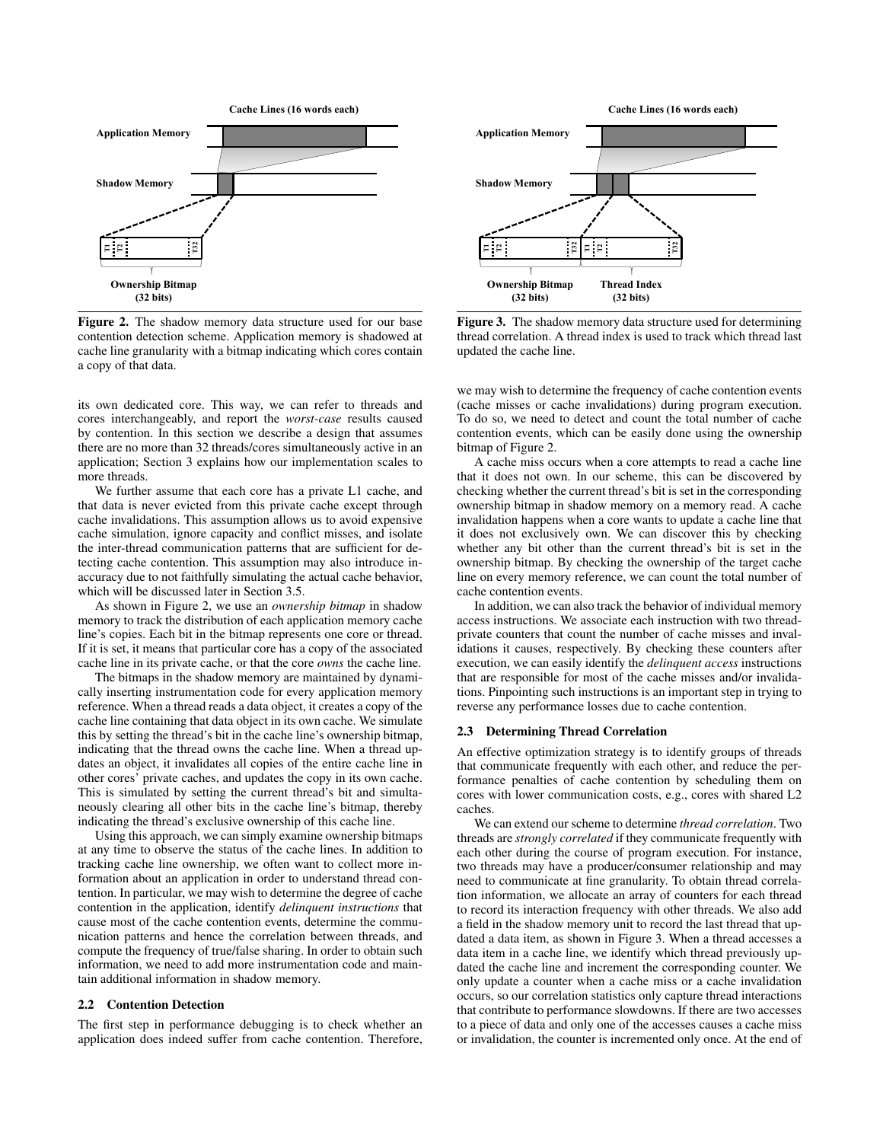

Figure 2. The shadow memory data structure used for our base contention detection scheme. Application memory is shadowed at cache line granularity with a bitmap indicating which cores contain a copy of that data.

its own dedicated core. This way, we can refer to threads and cores interchangeably, and report the *worst-case* results caused by contention. In this section we describe a design that assumes there are no more than 32 threads/cores simultaneously active in an application; Section 3 explains how our implementation scales to more threads.

We further assume that each core has a private L1 cache, and that data is never evicted from this private cache except through cache invalidations. This assumption allows us to avoid expensive cache simulation, ignore capacity and conflict misses, and isolate the inter-thread communication patterns that are sufficient for detecting cache contention. This assumption may also introduce inaccuracy due to not faithfully simulating the actual cache behavior, which will be discussed later in Section 3.5.

As shown in Figure 2, we use an *ownership bitmap* in shadow memory to track the distribution of each application memory cache line's copies. Each bit in the bitmap represents one core or thread. If it is set, it means that particular core has a copy of the associated cache line in its private cache, or that the core *owns* the cache line.

The bitmaps in the shadow memory are maintained by dynamically inserting instrumentation code for every application memory reference. When a thread reads a data object, it creates a copy of the cache line containing that data object in its own cache. We simulate this by setting the thread's bit in the cache line's ownership bitmap, indicating that the thread owns the cache line. When a thread updates an object, it invalidates all copies of the entire cache line in other cores' private caches, and updates the copy in its own cache. This is simulated by setting the current thread's bit and simultaneously clearing all other bits in the cache line's bitmap, thereby indicating the thread's exclusive ownership of this cache line.

Using this approach, we can simply examine ownership bitmaps at any time to observe the status of the cache lines. In addition to tracking cache line ownership, we often want to collect more information about an application in order to understand thread contention. In particular, we may wish to determine the degree of cache contention in the application, identify *delinquent instructions* that cause most of the cache contention events, determine the communication patterns and hence the correlation between threads, and compute the frequency of true/false sharing. In order to obtain such information, we need to add more instrumentation code and maintain additional information in shadow memory.

# 2.2 Contention Detection

The first step in performance debugging is to check whether an application does indeed suffer from cache contention. Therefore,



Figure 3. The shadow memory data structure used for determining thread correlation. A thread index is used to track which thread last updated the cache line.

we may wish to determine the frequency of cache contention events (cache misses or cache invalidations) during program execution. To do so, we need to detect and count the total number of cache contention events, which can be easily done using the ownership bitmap of Figure 2.

A cache miss occurs when a core attempts to read a cache line that it does not own. In our scheme, this can be discovered by checking whether the current thread's bit is set in the corresponding ownership bitmap in shadow memory on a memory read. A cache invalidation happens when a core wants to update a cache line that it does not exclusively own. We can discover this by checking whether any bit other than the current thread's bit is set in the ownership bitmap. By checking the ownership of the target cache line on every memory reference, we can count the total number of cache contention events.

In addition, we can also track the behavior of individual memory access instructions. We associate each instruction with two threadprivate counters that count the number of cache misses and invalidations it causes, respectively. By checking these counters after execution, we can easily identify the *delinquent access* instructions that are responsible for most of the cache misses and/or invalidations. Pinpointing such instructions is an important step in trying to reverse any performance losses due to cache contention.

## 2.3 Determining Thread Correlation

An effective optimization strategy is to identify groups of threads that communicate frequently with each other, and reduce the performance penalties of cache contention by scheduling them on cores with lower communication costs, e.g., cores with shared L2 caches.

We can extend our scheme to determine *thread correlation*. Two threads are *strongly correlated* if they communicate frequently with each other during the course of program execution. For instance, two threads may have a producer/consumer relationship and may need to communicate at fine granularity. To obtain thread correlation information, we allocate an array of counters for each thread to record its interaction frequency with other threads. We also add a field in the shadow memory unit to record the last thread that updated a data item, as shown in Figure 3. When a thread accesses a data item in a cache line, we identify which thread previously updated the cache line and increment the corresponding counter. We only update a counter when a cache miss or a cache invalidation occurs, so our correlation statistics only capture thread interactions that contribute to performance slowdowns. If there are two accesses to a piece of data and only one of the accesses causes a cache miss or invalidation, the counter is incremented only once. At the end of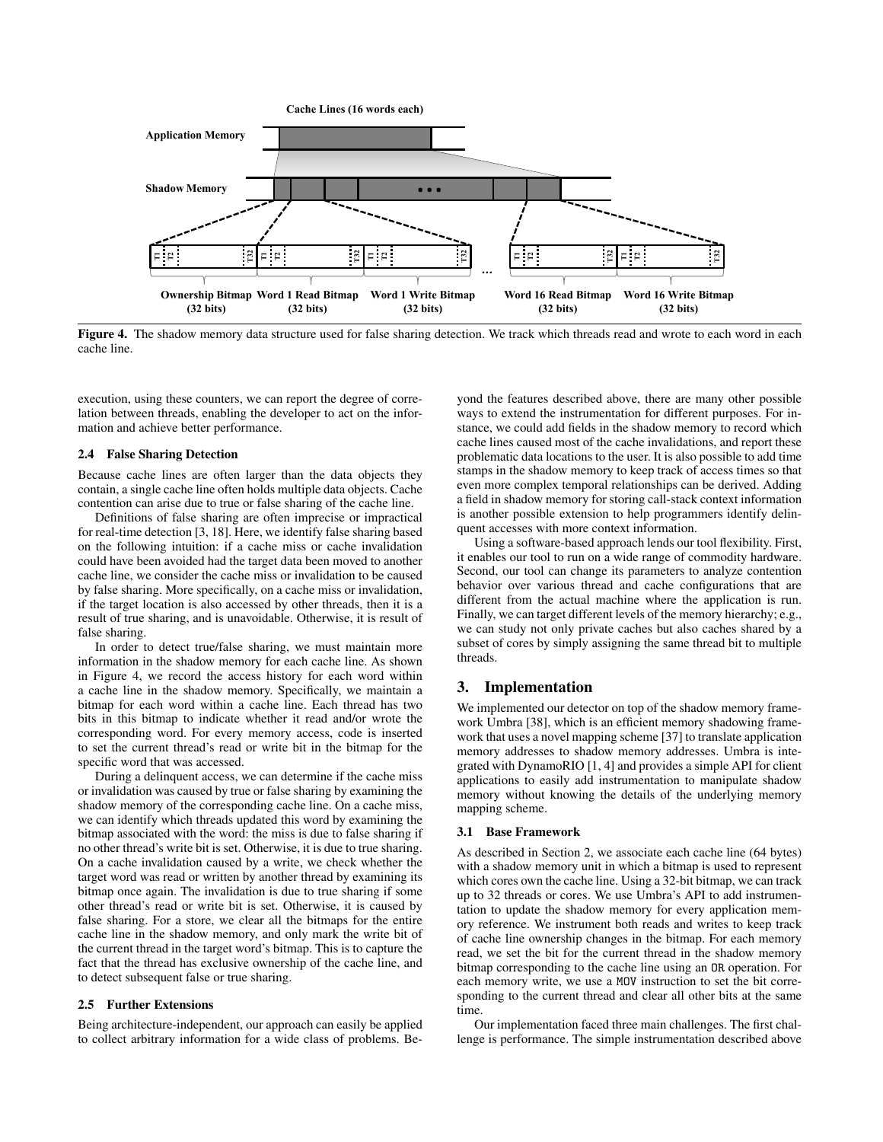

Figure 4. The shadow memory data structure used for false sharing detection. We track which threads read and wrote to each word in each cache line.

execution, using these counters, we can report the degree of correlation between threads, enabling the developer to act on the information and achieve better performance.

# 2.4 False Sharing Detection

Because cache lines are often larger than the data objects they contain, a single cache line often holds multiple data objects. Cache contention can arise due to true or false sharing of the cache line.

Definitions of false sharing are often imprecise or impractical for real-time detection [3, 18]. Here, we identify false sharing based on the following intuition: if a cache miss or cache invalidation could have been avoided had the target data been moved to another cache line, we consider the cache miss or invalidation to be caused by false sharing. More specifically, on a cache miss or invalidation, if the target location is also accessed by other threads, then it is a result of true sharing, and is unavoidable. Otherwise, it is result of false sharing.

In order to detect true/false sharing, we must maintain more information in the shadow memory for each cache line. As shown in Figure 4, we record the access history for each word within a cache line in the shadow memory. Specifically, we maintain a bitmap for each word within a cache line. Each thread has two bits in this bitmap to indicate whether it read and/or wrote the corresponding word. For every memory access, code is inserted to set the current thread's read or write bit in the bitmap for the specific word that was accessed.

During a delinquent access, we can determine if the cache miss or invalidation was caused by true or false sharing by examining the shadow memory of the corresponding cache line. On a cache miss, we can identify which threads updated this word by examining the bitmap associated with the word: the miss is due to false sharing if no other thread's write bit is set. Otherwise, it is due to true sharing. On a cache invalidation caused by a write, we check whether the target word was read or written by another thread by examining its bitmap once again. The invalidation is due to true sharing if some other thread's read or write bit is set. Otherwise, it is caused by false sharing. For a store, we clear all the bitmaps for the entire cache line in the shadow memory, and only mark the write bit of the current thread in the target word's bitmap. This is to capture the fact that the thread has exclusive ownership of the cache line, and to detect subsequent false or true sharing.

## 2.5 Further Extensions

Being architecture-independent, our approach can easily be applied to collect arbitrary information for a wide class of problems. Beyond the features described above, there are many other possible ways to extend the instrumentation for different purposes. For instance, we could add fields in the shadow memory to record which cache lines caused most of the cache invalidations, and report these problematic data locations to the user. It is also possible to add time stamps in the shadow memory to keep track of access times so that even more complex temporal relationships can be derived. Adding a field in shadow memory for storing call-stack context information is another possible extension to help programmers identify delinquent accesses with more context information.

Using a software-based approach lends our tool flexibility. First, it enables our tool to run on a wide range of commodity hardware. Second, our tool can change its parameters to analyze contention behavior over various thread and cache configurations that are different from the actual machine where the application is run. Finally, we can target different levels of the memory hierarchy; e.g., we can study not only private caches but also caches shared by a subset of cores by simply assigning the same thread bit to multiple threads.

# 3. Implementation

We implemented our detector on top of the shadow memory framework Umbra [38], which is an efficient memory shadowing framework that uses a novel mapping scheme [37] to translate application memory addresses to shadow memory addresses. Umbra is integrated with DynamoRIO [1, 4] and provides a simple API for client applications to easily add instrumentation to manipulate shadow memory without knowing the details of the underlying memory mapping scheme.

### 3.1 Base Framework

As described in Section 2, we associate each cache line (64 bytes) with a shadow memory unit in which a bitmap is used to represent which cores own the cache line. Using a 32-bit bitmap, we can track up to 32 threads or cores. We use Umbra's API to add instrumentation to update the shadow memory for every application memory reference. We instrument both reads and writes to keep track of cache line ownership changes in the bitmap. For each memory read, we set the bit for the current thread in the shadow memory bitmap corresponding to the cache line using an OR operation. For each memory write, we use a MOV instruction to set the bit corresponding to the current thread and clear all other bits at the same time.

Our implementation faced three main challenges. The first challenge is performance. The simple instrumentation described above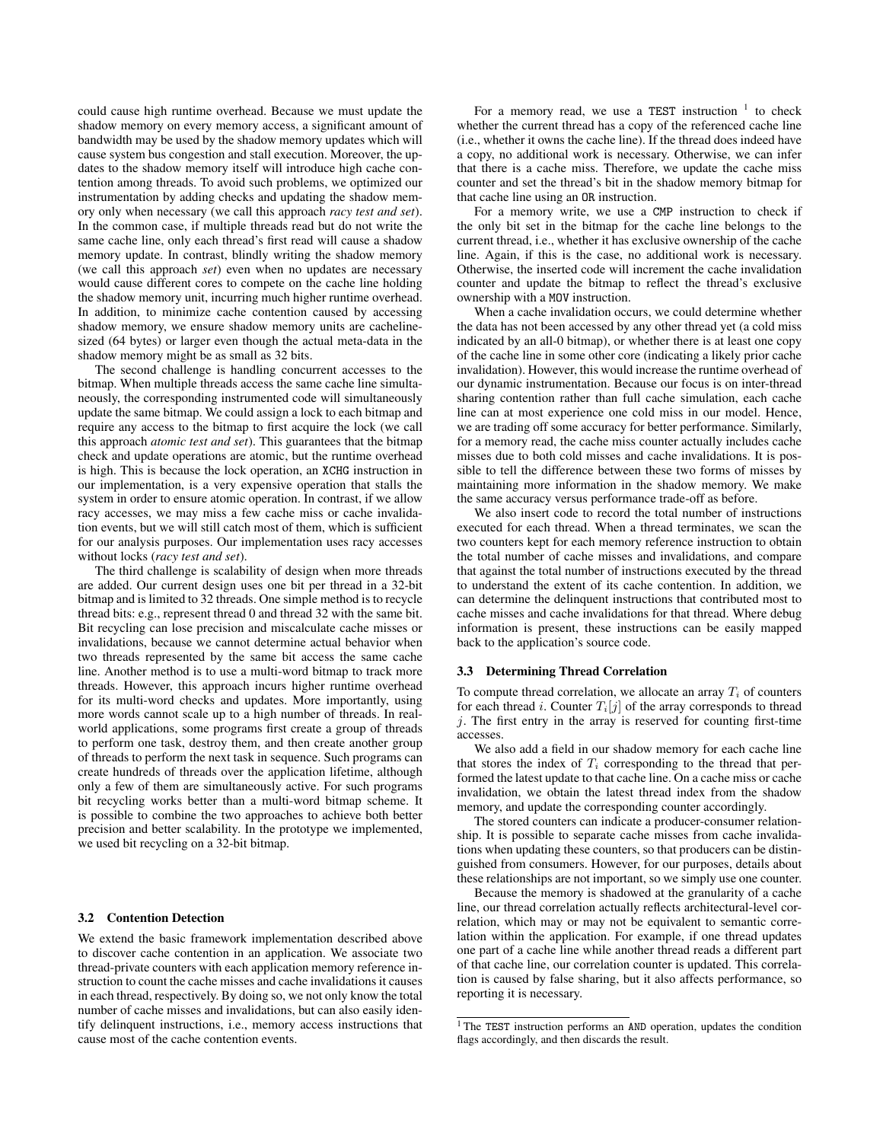could cause high runtime overhead. Because we must update the shadow memory on every memory access, a significant amount of bandwidth may be used by the shadow memory updates which will cause system bus congestion and stall execution. Moreover, the updates to the shadow memory itself will introduce high cache contention among threads. To avoid such problems, we optimized our instrumentation by adding checks and updating the shadow memory only when necessary (we call this approach *racy test and set*). In the common case, if multiple threads read but do not write the same cache line, only each thread's first read will cause a shadow memory update. In contrast, blindly writing the shadow memory (we call this approach *set*) even when no updates are necessary would cause different cores to compete on the cache line holding the shadow memory unit, incurring much higher runtime overhead. In addition, to minimize cache contention caused by accessing shadow memory, we ensure shadow memory units are cachelinesized (64 bytes) or larger even though the actual meta-data in the shadow memory might be as small as 32 bits.

The second challenge is handling concurrent accesses to the bitmap. When multiple threads access the same cache line simultaneously, the corresponding instrumented code will simultaneously update the same bitmap. We could assign a lock to each bitmap and require any access to the bitmap to first acquire the lock (we call this approach *atomic test and set*). This guarantees that the bitmap check and update operations are atomic, but the runtime overhead is high. This is because the lock operation, an XCHG instruction in our implementation, is a very expensive operation that stalls the system in order to ensure atomic operation. In contrast, if we allow racy accesses, we may miss a few cache miss or cache invalidation events, but we will still catch most of them, which is sufficient for our analysis purposes. Our implementation uses racy accesses without locks (*racy test and set*).

The third challenge is scalability of design when more threads are added. Our current design uses one bit per thread in a 32-bit bitmap and is limited to 32 threads. One simple method is to recycle thread bits: e.g., represent thread 0 and thread 32 with the same bit. Bit recycling can lose precision and miscalculate cache misses or invalidations, because we cannot determine actual behavior when two threads represented by the same bit access the same cache line. Another method is to use a multi-word bitmap to track more threads. However, this approach incurs higher runtime overhead for its multi-word checks and updates. More importantly, using more words cannot scale up to a high number of threads. In realworld applications, some programs first create a group of threads to perform one task, destroy them, and then create another group of threads to perform the next task in sequence. Such programs can create hundreds of threads over the application lifetime, although only a few of them are simultaneously active. For such programs bit recycling works better than a multi-word bitmap scheme. It is possible to combine the two approaches to achieve both better precision and better scalability. In the prototype we implemented, we used bit recycling on a 32-bit bitmap.

# 3.2 Contention Detection

We extend the basic framework implementation described above to discover cache contention in an application. We associate two thread-private counters with each application memory reference instruction to count the cache misses and cache invalidations it causes in each thread, respectively. By doing so, we not only know the total number of cache misses and invalidations, but can also easily identify delinquent instructions, i.e., memory access instructions that cause most of the cache contention events.

For a memory read, we use a TEST instruction  $1$  to check whether the current thread has a copy of the referenced cache line (i.e., whether it owns the cache line). If the thread does indeed have a copy, no additional work is necessary. Otherwise, we can infer that there is a cache miss. Therefore, we update the cache miss counter and set the thread's bit in the shadow memory bitmap for that cache line using an OR instruction.

For a memory write, we use a CMP instruction to check if the only bit set in the bitmap for the cache line belongs to the current thread, i.e., whether it has exclusive ownership of the cache line. Again, if this is the case, no additional work is necessary. Otherwise, the inserted code will increment the cache invalidation counter and update the bitmap to reflect the thread's exclusive ownership with a MOV instruction.

When a cache invalidation occurs, we could determine whether the data has not been accessed by any other thread yet (a cold miss indicated by an all-0 bitmap), or whether there is at least one copy of the cache line in some other core (indicating a likely prior cache invalidation). However, this would increase the runtime overhead of our dynamic instrumentation. Because our focus is on inter-thread sharing contention rather than full cache simulation, each cache line can at most experience one cold miss in our model. Hence, we are trading off some accuracy for better performance. Similarly, for a memory read, the cache miss counter actually includes cache misses due to both cold misses and cache invalidations. It is possible to tell the difference between these two forms of misses by maintaining more information in the shadow memory. We make the same accuracy versus performance trade-off as before.

We also insert code to record the total number of instructions executed for each thread. When a thread terminates, we scan the two counters kept for each memory reference instruction to obtain the total number of cache misses and invalidations, and compare that against the total number of instructions executed by the thread to understand the extent of its cache contention. In addition, we can determine the delinquent instructions that contributed most to cache misses and cache invalidations for that thread. Where debug information is present, these instructions can be easily mapped back to the application's source code.

### 3.3 Determining Thread Correlation

To compute thread correlation, we allocate an array  $T_i$  of counters for each thread i. Counter  $T_i[j]$  of the array corresponds to thread  $j$ . The first entry in the array is reserved for counting first-time accesses.

We also add a field in our shadow memory for each cache line that stores the index of  $T_i$  corresponding to the thread that performed the latest update to that cache line. On a cache miss or cache invalidation, we obtain the latest thread index from the shadow memory, and update the corresponding counter accordingly.

The stored counters can indicate a producer-consumer relationship. It is possible to separate cache misses from cache invalidations when updating these counters, so that producers can be distinguished from consumers. However, for our purposes, details about these relationships are not important, so we simply use one counter.

Because the memory is shadowed at the granularity of a cache line, our thread correlation actually reflects architectural-level correlation, which may or may not be equivalent to semantic correlation within the application. For example, if one thread updates one part of a cache line while another thread reads a different part of that cache line, our correlation counter is updated. This correlation is caused by false sharing, but it also affects performance, so reporting it is necessary.

<sup>&</sup>lt;sup>1</sup> The TEST instruction performs an AND operation, updates the condition flags accordingly, and then discards the result.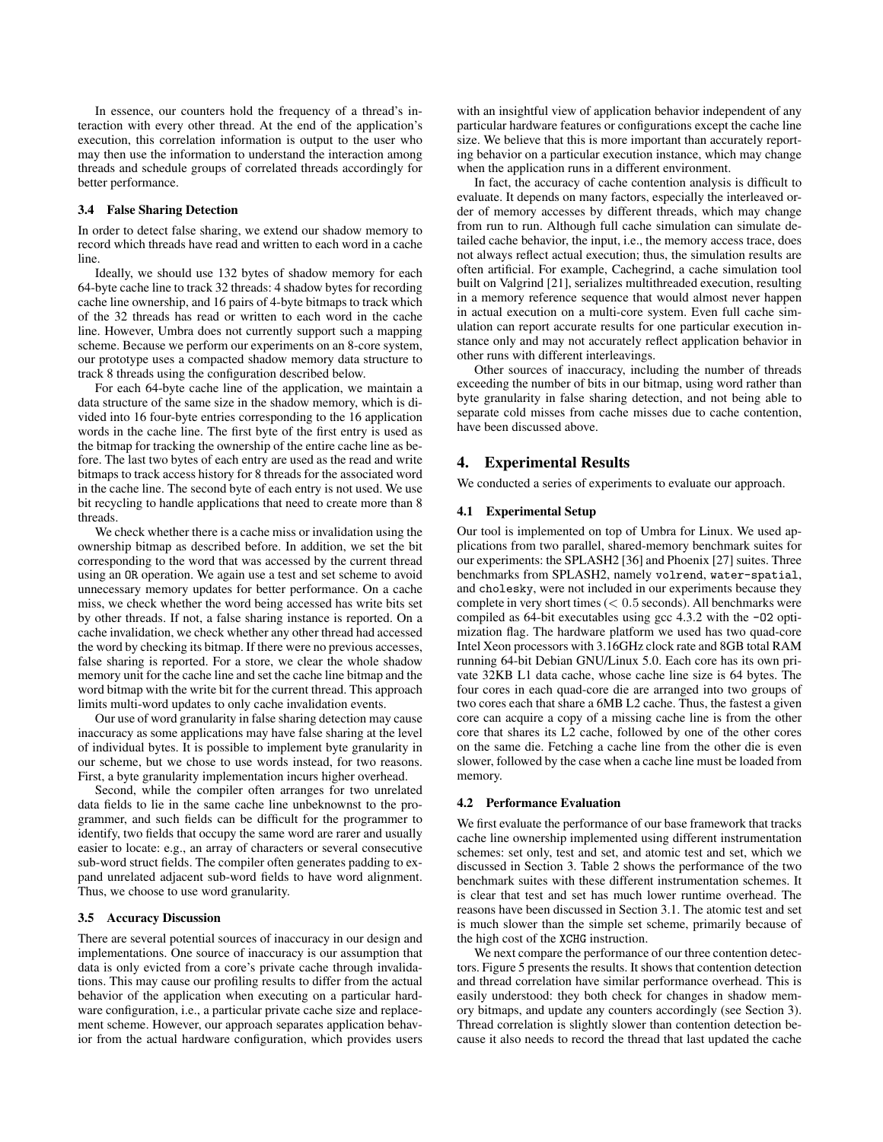In essence, our counters hold the frequency of a thread's interaction with every other thread. At the end of the application's execution, this correlation information is output to the user who may then use the information to understand the interaction among threads and schedule groups of correlated threads accordingly for better performance.

## 3.4 False Sharing Detection

In order to detect false sharing, we extend our shadow memory to record which threads have read and written to each word in a cache line.

Ideally, we should use 132 bytes of shadow memory for each 64-byte cache line to track 32 threads: 4 shadow bytes for recording cache line ownership, and 16 pairs of 4-byte bitmaps to track which of the 32 threads has read or written to each word in the cache line. However, Umbra does not currently support such a mapping scheme. Because we perform our experiments on an 8-core system, our prototype uses a compacted shadow memory data structure to track 8 threads using the configuration described below.

For each 64-byte cache line of the application, we maintain a data structure of the same size in the shadow memory, which is divided into 16 four-byte entries corresponding to the 16 application words in the cache line. The first byte of the first entry is used as the bitmap for tracking the ownership of the entire cache line as before. The last two bytes of each entry are used as the read and write bitmaps to track access history for 8 threads for the associated word in the cache line. The second byte of each entry is not used. We use bit recycling to handle applications that need to create more than 8 threads.

We check whether there is a cache miss or invalidation using the ownership bitmap as described before. In addition, we set the bit corresponding to the word that was accessed by the current thread using an OR operation. We again use a test and set scheme to avoid unnecessary memory updates for better performance. On a cache miss, we check whether the word being accessed has write bits set by other threads. If not, a false sharing instance is reported. On a cache invalidation, we check whether any other thread had accessed the word by checking its bitmap. If there were no previous accesses, false sharing is reported. For a store, we clear the whole shadow memory unit for the cache line and set the cache line bitmap and the word bitmap with the write bit for the current thread. This approach limits multi-word updates to only cache invalidation events.

Our use of word granularity in false sharing detection may cause inaccuracy as some applications may have false sharing at the level of individual bytes. It is possible to implement byte granularity in our scheme, but we chose to use words instead, for two reasons. First, a byte granularity implementation incurs higher overhead.

Second, while the compiler often arranges for two unrelated data fields to lie in the same cache line unbeknownst to the programmer, and such fields can be difficult for the programmer to identify, two fields that occupy the same word are rarer and usually easier to locate: e.g., an array of characters or several consecutive sub-word struct fields. The compiler often generates padding to expand unrelated adjacent sub-word fields to have word alignment. Thus, we choose to use word granularity.

# 3.5 Accuracy Discussion

There are several potential sources of inaccuracy in our design and implementations. One source of inaccuracy is our assumption that data is only evicted from a core's private cache through invalidations. This may cause our profiling results to differ from the actual behavior of the application when executing on a particular hardware configuration, i.e., a particular private cache size and replacement scheme. However, our approach separates application behavior from the actual hardware configuration, which provides users

with an insightful view of application behavior independent of any particular hardware features or configurations except the cache line size. We believe that this is more important than accurately reporting behavior on a particular execution instance, which may change when the application runs in a different environment.

In fact, the accuracy of cache contention analysis is difficult to evaluate. It depends on many factors, especially the interleaved order of memory accesses by different threads, which may change from run to run. Although full cache simulation can simulate detailed cache behavior, the input, i.e., the memory access trace, does not always reflect actual execution; thus, the simulation results are often artificial. For example, Cachegrind, a cache simulation tool built on Valgrind [21], serializes multithreaded execution, resulting in a memory reference sequence that would almost never happen in actual execution on a multi-core system. Even full cache simulation can report accurate results for one particular execution instance only and may not accurately reflect application behavior in other runs with different interleavings.

Other sources of inaccuracy, including the number of threads exceeding the number of bits in our bitmap, using word rather than byte granularity in false sharing detection, and not being able to separate cold misses from cache misses due to cache contention, have been discussed above.

# 4. Experimental Results

We conducted a series of experiments to evaluate our approach.

#### 4.1 Experimental Setup

Our tool is implemented on top of Umbra for Linux. We used applications from two parallel, shared-memory benchmark suites for our experiments: the SPLASH2 [36] and Phoenix [27] suites. Three benchmarks from SPLASH2, namely volrend, water-spatial, and cholesky, were not included in our experiments because they complete in very short times (< 0.5 seconds). All benchmarks were compiled as 64-bit executables using gcc 4.3.2 with the -O2 optimization flag. The hardware platform we used has two quad-core Intel Xeon processors with 3.16GHz clock rate and 8GB total RAM running 64-bit Debian GNU/Linux 5.0. Each core has its own private 32KB L1 data cache, whose cache line size is 64 bytes. The four cores in each quad-core die are arranged into two groups of two cores each that share a 6MB L2 cache. Thus, the fastest a given core can acquire a copy of a missing cache line is from the other core that shares its L2 cache, followed by one of the other cores on the same die. Fetching a cache line from the other die is even slower, followed by the case when a cache line must be loaded from memory.

#### 4.2 Performance Evaluation

We first evaluate the performance of our base framework that tracks cache line ownership implemented using different instrumentation schemes: set only, test and set, and atomic test and set, which we discussed in Section 3. Table 2 shows the performance of the two benchmark suites with these different instrumentation schemes. It is clear that test and set has much lower runtime overhead. The reasons have been discussed in Section 3.1. The atomic test and set is much slower than the simple set scheme, primarily because of the high cost of the XCHG instruction.

We next compare the performance of our three contention detectors. Figure 5 presents the results. It shows that contention detection and thread correlation have similar performance overhead. This is easily understood: they both check for changes in shadow memory bitmaps, and update any counters accordingly (see Section 3). Thread correlation is slightly slower than contention detection because it also needs to record the thread that last updated the cache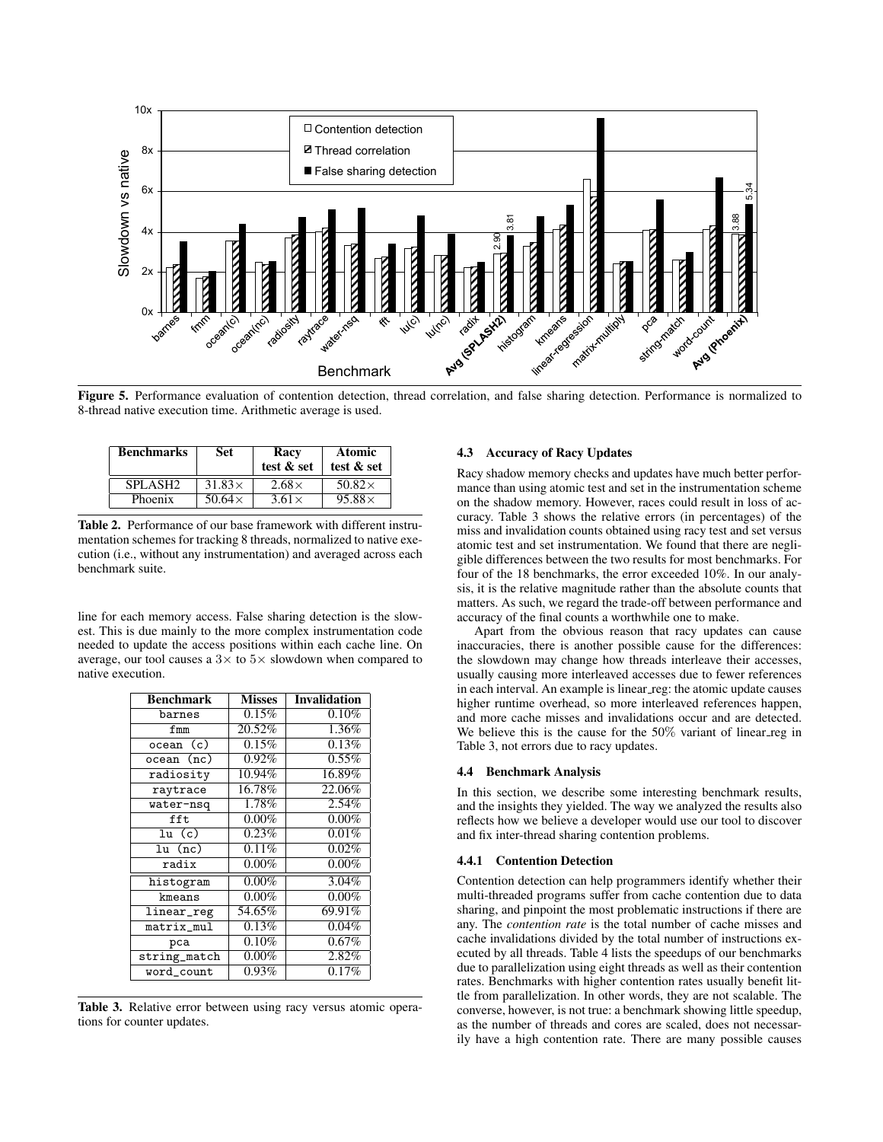

Figure 5. Performance evaluation of contention detection, thread correlation, and false sharing detection. Performance is normalized to 8-thread native execution time. Arithmetic average is used.

| <b>Benchmarks</b>   | Set           | Racy<br>test & set | <b>Atomic</b><br>test & set |
|---------------------|---------------|--------------------|-----------------------------|
| SPLASH <sub>2</sub> | $31.83\times$ | $2.68\times$       | $50.82\times$               |
| Phoenix             | $50.64\times$ | $3.61\times$       | $95.88\times$               |

Table 2. Performance of our base framework with different instrumentation schemes for tracking 8 threads, normalized to native execution (i.e., without any instrumentation) and averaged across each benchmark suite.

line for each memory access. False sharing detection is the slowest. This is due mainly to the more complex instrumentation code needed to update the access positions within each cache line. On average, our tool causes a  $3\times$  to  $5\times$  slowdown when compared to native execution.

| <b>Benchmark</b> | <b>Misses</b>       | <b>Invalidation</b> |
|------------------|---------------------|---------------------|
| barnes           | 0.15%               | $0.10\%$            |
| fmm              | 20.52%              | 1.36%               |
| ocean (c)        | $\overline{0.15\%}$ | 0.13%               |
| ocean (nc)       | 0.92%               | $0.55\%$            |
| radiosity        | 10.94%              | 16.89%              |
| raytrace         | 16.78%              | 22.06%              |
| water-nsq        | 1.78%               | 2.54%               |
| fft              | $0.00\%$            | $0.00\%$            |
| lu(c)            | 0.23%               | 0.01%               |
| lu (nc)          | 0.11%               | 0.02%               |
| radix            | $\overline{0.00\%}$ | $\overline{0.00\%}$ |
| histogram        | $0.00\%$            | 3.04%               |
| kmeans           | $0.00\%$            | $0.00\%$            |
| linear_reg       | 54.65%              | 69.91%              |
| matrix_mul       | $\overline{0.13}\%$ | 0.04%               |
| pca              | 0.10%               | 0.67%               |
| string_match     | $0.00\%$            | 2.82%               |
| word_count       | 0.93%               | 0.17%               |

Table 3. Relative error between using racy versus atomic operations for counter updates.

# 4.3 Accuracy of Racy Updates

Racy shadow memory checks and updates have much better performance than using atomic test and set in the instrumentation scheme on the shadow memory. However, races could result in loss of accuracy. Table 3 shows the relative errors (in percentages) of the miss and invalidation counts obtained using racy test and set versus atomic test and set instrumentation. We found that there are negligible differences between the two results for most benchmarks. For four of the 18 benchmarks, the error exceeded 10%. In our analysis, it is the relative magnitude rather than the absolute counts that matters. As such, we regard the trade-off between performance and accuracy of the final counts a worthwhile one to make.

Apart from the obvious reason that racy updates can cause inaccuracies, there is another possible cause for the differences: the slowdown may change how threads interleave their accesses, usually causing more interleaved accesses due to fewer references in each interval. An example is linear reg: the atomic update causes higher runtime overhead, so more interleaved references happen, and more cache misses and invalidations occur and are detected. We believe this is the cause for the  $50\%$  variant of linear reg in Table 3, not errors due to racy updates.

## 4.4 Benchmark Analysis

In this section, we describe some interesting benchmark results, and the insights they yielded. The way we analyzed the results also reflects how we believe a developer would use our tool to discover and fix inter-thread sharing contention problems.

# 4.4.1 Contention Detection

Contention detection can help programmers identify whether their multi-threaded programs suffer from cache contention due to data sharing, and pinpoint the most problematic instructions if there are any. The *contention rate* is the total number of cache misses and cache invalidations divided by the total number of instructions executed by all threads. Table 4 lists the speedups of our benchmarks due to parallelization using eight threads as well as their contention rates. Benchmarks with higher contention rates usually benefit little from parallelization. In other words, they are not scalable. The converse, however, is not true: a benchmark showing little speedup, as the number of threads and cores are scaled, does not necessarily have a high contention rate. There are many possible causes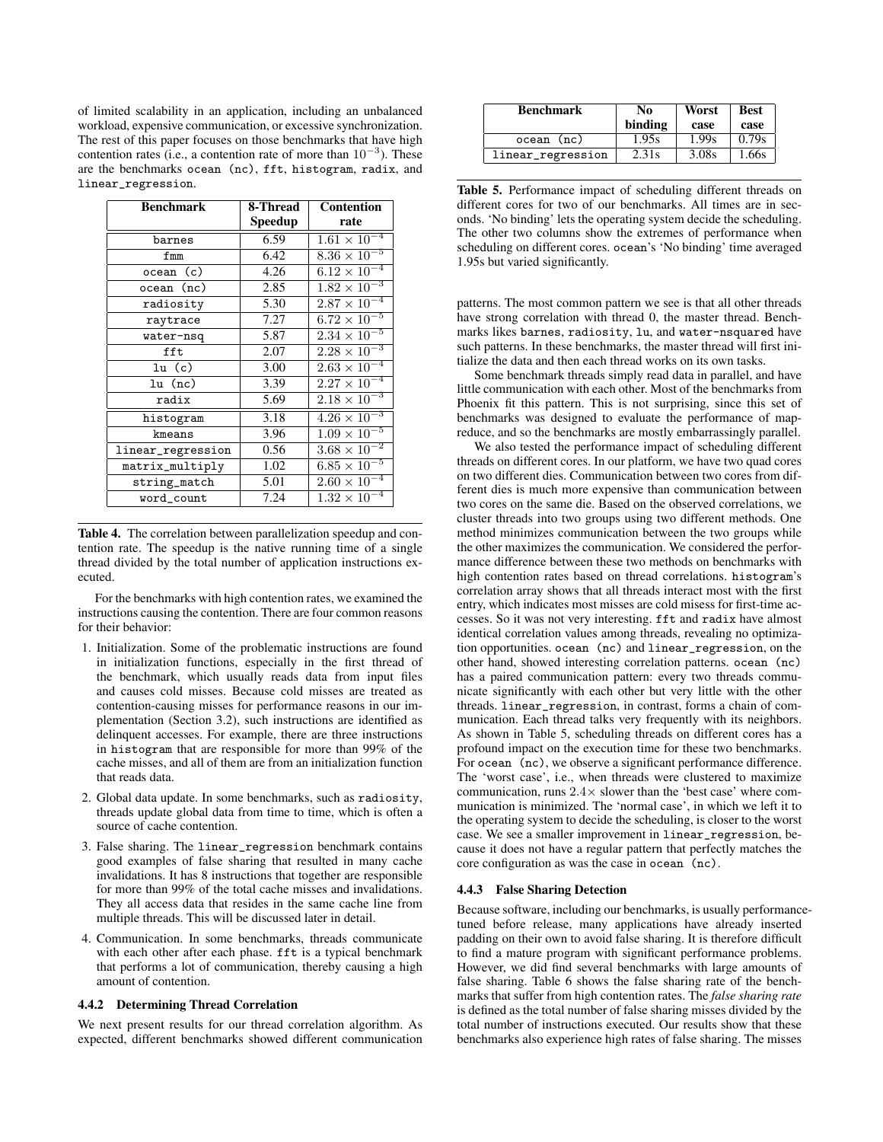of limited scalability in an application, including an unbalanced workload, expensive communication, or excessive synchronization. The rest of this paper focuses on those benchmarks that have high contention rates (i.e., a contention rate of more than  $10^{-3}$ ). These are the benchmarks ocean (nc), fft, histogram, radix, and linear\_regression.

| <b>Benchmark</b>  | 8-Thread | <b>Contention</b>                |
|-------------------|----------|----------------------------------|
|                   | Speedup  | rate                             |
| barnes            | 6.59     | $1.\overline{61 \times 10^{-4}}$ |
| fmm               | 6.42     | $8.36 \times 10^{-5}$            |
| ocean (c)         | 4.26     | $6.12 \times 10^{-4}$            |
| ocean (nc)        | 2.85     | $1.82 \times 10^{-3}$            |
| radiosity         | 5.30     | $2.87 \times 10^{-4}$            |
| raytrace          | 7.27     | $6.\overline{72 \times 10^{-5}}$ |
| water-nsq         | 5.87     | $2.34 \times 10^{-5}$            |
| fft               | 2.07     | $2.28 \times 10^{-3}$            |
| lu(c)             | 3.00     | $2.63 \times 10^{-4}$            |
| lu (nc)           | 3.39     | $2.27 \times 10^{-4}$            |
| radix             | 5.69     | $2.18 \times 10^{-3}$            |
| histogram         | 3.18     | $4.26 \times 10^{-3}$            |
| kmeans            | 3.96     | $1.09 \times 10^{-5}$            |
| linear_regression | 0.56     | $3.68 \times 10^{-2}$            |
| matrix_multiply   | 1.02     | $6.85 \times 10^{-5}$            |
| string_match      | 5.01     | $2.60 \times 10^{-4}$            |
| word_count        | 7.24     | $1.32 \times 10^{-4}$            |

Table 4. The correlation between parallelization speedup and contention rate. The speedup is the native running time of a single thread divided by the total number of application instructions executed.

For the benchmarks with high contention rates, we examined the instructions causing the contention. There are four common reasons for their behavior:

- 1. Initialization. Some of the problematic instructions are found in initialization functions, especially in the first thread of the benchmark, which usually reads data from input files and causes cold misses. Because cold misses are treated as contention-causing misses for performance reasons in our implementation (Section 3.2), such instructions are identified as delinquent accesses. For example, there are three instructions in histogram that are responsible for more than 99% of the cache misses, and all of them are from an initialization function that reads data.
- 2. Global data update. In some benchmarks, such as radiosity, threads update global data from time to time, which is often a source of cache contention.
- 3. False sharing. The linear\_regression benchmark contains good examples of false sharing that resulted in many cache invalidations. It has 8 instructions that together are responsible for more than 99% of the total cache misses and invalidations. They all access data that resides in the same cache line from multiple threads. This will be discussed later in detail.
- 4. Communication. In some benchmarks, threads communicate with each other after each phase. fft is a typical benchmark that performs a lot of communication, thereby causing a high amount of contention.

# 4.4.2 Determining Thread Correlation

We next present results for our thread correlation algorithm. As expected, different benchmarks showed different communication

| <b>Benchmark</b>  | No<br>binding | Worst<br>case | <b>Best</b><br>case |
|-------------------|---------------|---------------|---------------------|
| ocean (nc)        | 1.95s         | 1.99s         | 0.79s               |
| linear_regression | 2.31s         | 3.08s         | 1.66s               |

Table 5. Performance impact of scheduling different threads on different cores for two of our benchmarks. All times are in seconds. 'No binding' lets the operating system decide the scheduling. The other two columns show the extremes of performance when scheduling on different cores. ocean's 'No binding' time averaged 1.95s but varied significantly.

patterns. The most common pattern we see is that all other threads have strong correlation with thread 0, the master thread. Benchmarks likes barnes, radiosity, lu, and water-nsquared have such patterns. In these benchmarks, the master thread will first initialize the data and then each thread works on its own tasks.

Some benchmark threads simply read data in parallel, and have little communication with each other. Most of the benchmarks from Phoenix fit this pattern. This is not surprising, since this set of benchmarks was designed to evaluate the performance of mapreduce, and so the benchmarks are mostly embarrassingly parallel.

We also tested the performance impact of scheduling different threads on different cores. In our platform, we have two quad cores on two different dies. Communication between two cores from different dies is much more expensive than communication between two cores on the same die. Based on the observed correlations, we cluster threads into two groups using two different methods. One method minimizes communication between the two groups while the other maximizes the communication. We considered the performance difference between these two methods on benchmarks with high contention rates based on thread correlations. histogram's correlation array shows that all threads interact most with the first entry, which indicates most misses are cold misess for first-time accesses. So it was not very interesting. fft and radix have almost identical correlation values among threads, revealing no optimization opportunities. ocean (nc) and linear\_regression, on the other hand, showed interesting correlation patterns. ocean (nc) has a paired communication pattern: every two threads communicate significantly with each other but very little with the other threads. linear\_regression, in contrast, forms a chain of communication. Each thread talks very frequently with its neighbors. As shown in Table 5, scheduling threads on different cores has a profound impact on the execution time for these two benchmarks. For ocean (nc), we observe a significant performance difference. The 'worst case', i.e., when threads were clustered to maximize communication, runs  $2.4 \times$  slower than the 'best case' where communication is minimized. The 'normal case', in which we left it to the operating system to decide the scheduling, is closer to the worst case. We see a smaller improvement in linear\_regression, because it does not have a regular pattern that perfectly matches the core configuration as was the case in ocean (nc).

## 4.4.3 False Sharing Detection

Because software, including our benchmarks, is usually performancetuned before release, many applications have already inserted padding on their own to avoid false sharing. It is therefore difficult to find a mature program with significant performance problems. However, we did find several benchmarks with large amounts of false sharing. Table 6 shows the false sharing rate of the benchmarks that suffer from high contention rates. The *false sharing rate* is defined as the total number of false sharing misses divided by the total number of instructions executed. Our results show that these benchmarks also experience high rates of false sharing. The misses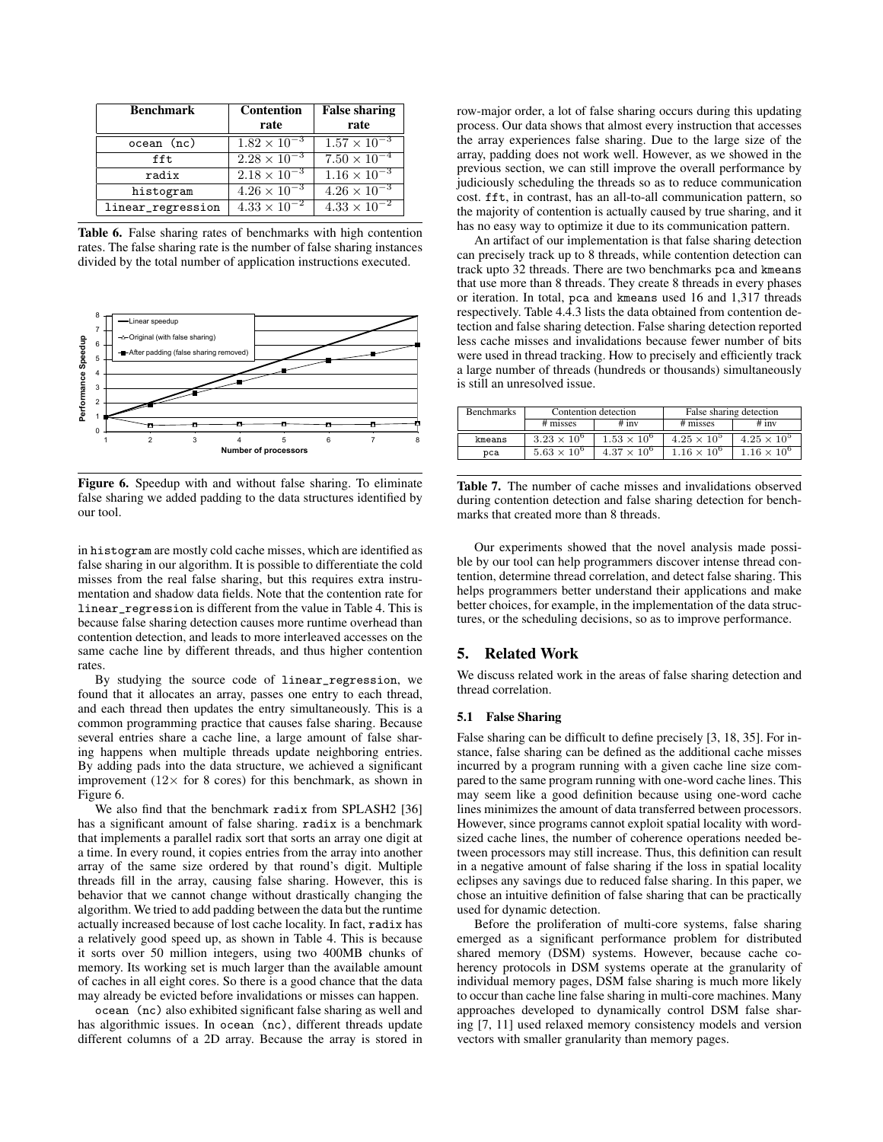| <b>Benchmark</b>  | <b>Contention</b><br>rate | <b>False sharing</b><br>rate    |  |
|-------------------|---------------------------|---------------------------------|--|
| ocean (nc)        | $1.82 \times 10^{-3}$     | $1.57 \times 10^{-3}$           |  |
| fft.              | $2.28 \times 10^{-3}$     | $7.50 \times 10^{-4}$           |  |
| radix             | $2.18 \times 10^{-3}$     | $\frac{1.16 \times 10^{-3}}{2}$ |  |
| histogram         | $4.26 \times 10^{-3}$     | $4.26 \times 10^{-3}$           |  |
| linear_regression | $4.33 \times 10^{-2}$     | $4.33 \times 10^{-2}$           |  |

Table 6. False sharing rates of benchmarks with high contention rates. The false sharing rate is the number of false sharing instances divided by the total number of application instructions executed.



Figure 6. Speedup with and without false sharing. To eliminate false sharing we added padding to the data structures identified by our tool.

in histogram are mostly cold cache misses, which are identified as false sharing in our algorithm. It is possible to differentiate the cold misses from the real false sharing, but this requires extra instrumentation and shadow data fields. Note that the contention rate for linear\_regression is different from the value in Table 4. This is because false sharing detection causes more runtime overhead than contention detection, and leads to more interleaved accesses on the same cache line by different threads, and thus higher contention rates.

By studying the source code of linear\_regression, we found that it allocates an array, passes one entry to each thread, and each thread then updates the entry simultaneously. This is a common programming practice that causes false sharing. Because several entries share a cache line, a large amount of false sharing happens when multiple threads update neighboring entries. By adding pads into the data structure, we achieved a significant improvement ( $12\times$  for 8 cores) for this benchmark, as shown in Figure 6.

We also find that the benchmark radix from SPLASH2 [36] has a significant amount of false sharing. radix is a benchmark that implements a parallel radix sort that sorts an array one digit at a time. In every round, it copies entries from the array into another array of the same size ordered by that round's digit. Multiple threads fill in the array, causing false sharing. However, this is behavior that we cannot change without drastically changing the algorithm. We tried to add padding between the data but the runtime actually increased because of lost cache locality. In fact, radix has a relatively good speed up, as shown in Table 4. This is because it sorts over 50 million integers, using two 400MB chunks of memory. Its working set is much larger than the available amount of caches in all eight cores. So there is a good chance that the data may already be evicted before invalidations or misses can happen.

ocean (nc) also exhibited significant false sharing as well and has algorithmic issues. In ocean (nc), different threads update different columns of a 2D array. Because the array is stored in row-major order, a lot of false sharing occurs during this updating process. Our data shows that almost every instruction that accesses the array experiences false sharing. Due to the large size of the array, padding does not work well. However, as we showed in the previous section, we can still improve the overall performance by judiciously scheduling the threads so as to reduce communication cost. fft, in contrast, has an all-to-all communication pattern, so the majority of contention is actually caused by true sharing, and it has no easy way to optimize it due to its communication pattern.

An artifact of our implementation is that false sharing detection can precisely track up to 8 threads, while contention detection can track upto 32 threads. There are two benchmarks pca and kmeans that use more than 8 threads. They create 8 threads in every phases or iteration. In total, pca and kmeans used 16 and 1,317 threads respectively. Table 4.4.3 lists the data obtained from contention detection and false sharing detection. False sharing detection reported less cache misses and invalidations because fewer number of bits were used in thread tracking. How to precisely and efficiently track a large number of threads (hundreds or thousands) simultaneously is still an unresolved issue.

| <b>Benchmarks</b> | Contention detection |                      | False sharing detection |                      |
|-------------------|----------------------|----------------------|-------------------------|----------------------|
|                   | # misses             | $#$ inv              | # misses                | $#$ inv              |
| kmeans            | $3.23 \times 10^{6}$ | $1.53 \times 10^{6}$ | $4.25 \times 10^{5}$    | $4.25 \times 10^5$   |
| pca               | $5.63 \times 10^{6}$ | $4.37 \times 10^{6}$ | $1.16 \times 10^{6}$    | $1.16 \times 10^{6}$ |

Table 7. The number of cache misses and invalidations observed during contention detection and false sharing detection for benchmarks that created more than 8 threads.

Our experiments showed that the novel analysis made possible by our tool can help programmers discover intense thread contention, determine thread correlation, and detect false sharing. This helps programmers better understand their applications and make better choices, for example, in the implementation of the data structures, or the scheduling decisions, so as to improve performance.

# 5. Related Work

We discuss related work in the areas of false sharing detection and thread correlation.

# 5.1 False Sharing

False sharing can be difficult to define precisely [3, 18, 35]. For instance, false sharing can be defined as the additional cache misses incurred by a program running with a given cache line size compared to the same program running with one-word cache lines. This may seem like a good definition because using one-word cache lines minimizes the amount of data transferred between processors. However, since programs cannot exploit spatial locality with wordsized cache lines, the number of coherence operations needed between processors may still increase. Thus, this definition can result in a negative amount of false sharing if the loss in spatial locality eclipses any savings due to reduced false sharing. In this paper, we chose an intuitive definition of false sharing that can be practically used for dynamic detection.

Before the proliferation of multi-core systems, false sharing emerged as a significant performance problem for distributed shared memory (DSM) systems. However, because cache coherency protocols in DSM systems operate at the granularity of individual memory pages, DSM false sharing is much more likely to occur than cache line false sharing in multi-core machines. Many approaches developed to dynamically control DSM false sharing [7, 11] used relaxed memory consistency models and version vectors with smaller granularity than memory pages.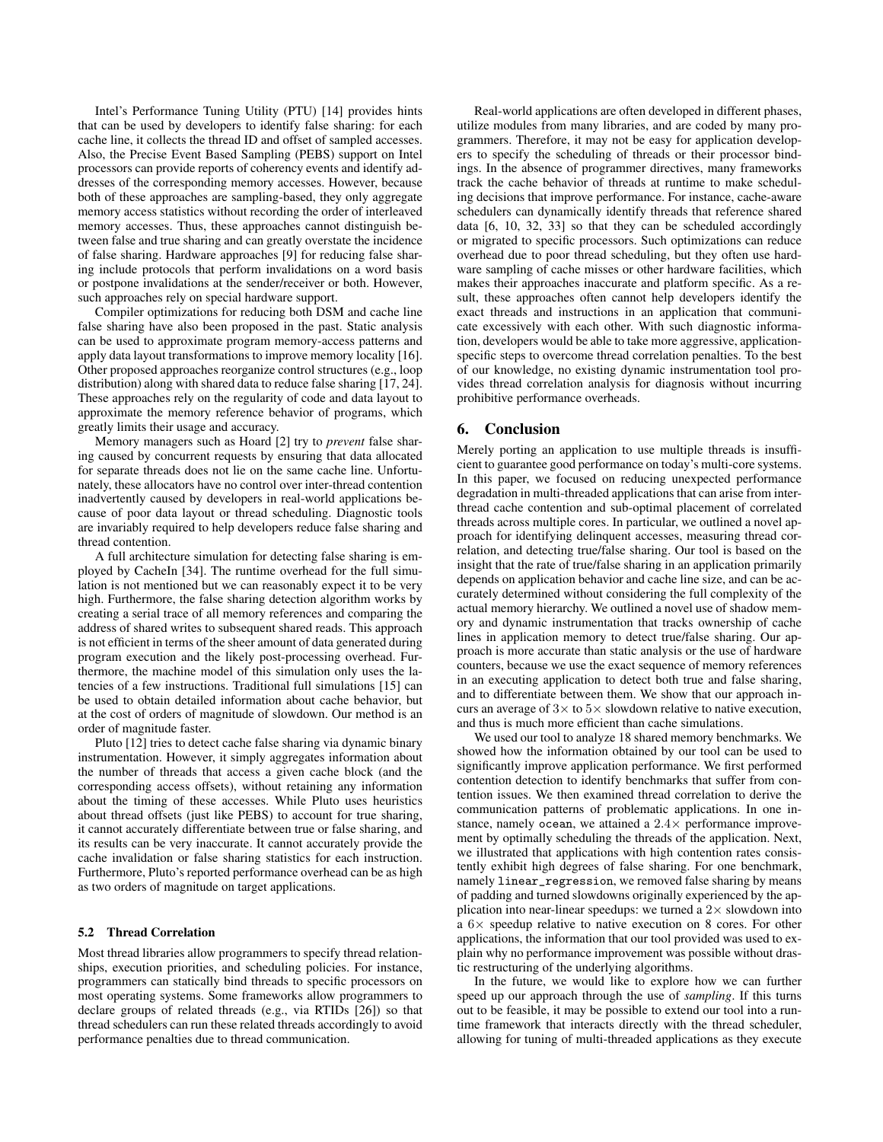Intel's Performance Tuning Utility (PTU) [14] provides hints that can be used by developers to identify false sharing: for each cache line, it collects the thread ID and offset of sampled accesses. Also, the Precise Event Based Sampling (PEBS) support on Intel processors can provide reports of coherency events and identify addresses of the corresponding memory accesses. However, because both of these approaches are sampling-based, they only aggregate memory access statistics without recording the order of interleaved memory accesses. Thus, these approaches cannot distinguish between false and true sharing and can greatly overstate the incidence of false sharing. Hardware approaches [9] for reducing false sharing include protocols that perform invalidations on a word basis or postpone invalidations at the sender/receiver or both. However, such approaches rely on special hardware support.

Compiler optimizations for reducing both DSM and cache line false sharing have also been proposed in the past. Static analysis can be used to approximate program memory-access patterns and apply data layout transformations to improve memory locality [16]. Other proposed approaches reorganize control structures (e.g., loop distribution) along with shared data to reduce false sharing [17, 24]. These approaches rely on the regularity of code and data layout to approximate the memory reference behavior of programs, which greatly limits their usage and accuracy.

Memory managers such as Hoard [2] try to *prevent* false sharing caused by concurrent requests by ensuring that data allocated for separate threads does not lie on the same cache line. Unfortunately, these allocators have no control over inter-thread contention inadvertently caused by developers in real-world applications because of poor data layout or thread scheduling. Diagnostic tools are invariably required to help developers reduce false sharing and thread contention.

A full architecture simulation for detecting false sharing is employed by CacheIn [34]. The runtime overhead for the full simulation is not mentioned but we can reasonably expect it to be very high. Furthermore, the false sharing detection algorithm works by creating a serial trace of all memory references and comparing the address of shared writes to subsequent shared reads. This approach is not efficient in terms of the sheer amount of data generated during program execution and the likely post-processing overhead. Furthermore, the machine model of this simulation only uses the latencies of a few instructions. Traditional full simulations [15] can be used to obtain detailed information about cache behavior, but at the cost of orders of magnitude of slowdown. Our method is an order of magnitude faster.

Pluto [12] tries to detect cache false sharing via dynamic binary instrumentation. However, it simply aggregates information about the number of threads that access a given cache block (and the corresponding access offsets), without retaining any information about the timing of these accesses. While Pluto uses heuristics about thread offsets (just like PEBS) to account for true sharing, it cannot accurately differentiate between true or false sharing, and its results can be very inaccurate. It cannot accurately provide the cache invalidation or false sharing statistics for each instruction. Furthermore, Pluto's reported performance overhead can be as high as two orders of magnitude on target applications.

## 5.2 Thread Correlation

Most thread libraries allow programmers to specify thread relationships, execution priorities, and scheduling policies. For instance, programmers can statically bind threads to specific processors on most operating systems. Some frameworks allow programmers to declare groups of related threads (e.g., via RTIDs [26]) so that thread schedulers can run these related threads accordingly to avoid performance penalties due to thread communication.

Real-world applications are often developed in different phases, utilize modules from many libraries, and are coded by many programmers. Therefore, it may not be easy for application developers to specify the scheduling of threads or their processor bindings. In the absence of programmer directives, many frameworks track the cache behavior of threads at runtime to make scheduling decisions that improve performance. For instance, cache-aware schedulers can dynamically identify threads that reference shared data [6, 10, 32, 33] so that they can be scheduled accordingly or migrated to specific processors. Such optimizations can reduce overhead due to poor thread scheduling, but they often use hardware sampling of cache misses or other hardware facilities, which makes their approaches inaccurate and platform specific. As a result, these approaches often cannot help developers identify the exact threads and instructions in an application that communicate excessively with each other. With such diagnostic information, developers would be able to take more aggressive, applicationspecific steps to overcome thread correlation penalties. To the best of our knowledge, no existing dynamic instrumentation tool provides thread correlation analysis for diagnosis without incurring prohibitive performance overheads.

# 6. Conclusion

Merely porting an application to use multiple threads is insufficient to guarantee good performance on today's multi-core systems. In this paper, we focused on reducing unexpected performance degradation in multi-threaded applications that can arise from interthread cache contention and sub-optimal placement of correlated threads across multiple cores. In particular, we outlined a novel approach for identifying delinquent accesses, measuring thread correlation, and detecting true/false sharing. Our tool is based on the insight that the rate of true/false sharing in an application primarily depends on application behavior and cache line size, and can be accurately determined without considering the full complexity of the actual memory hierarchy. We outlined a novel use of shadow memory and dynamic instrumentation that tracks ownership of cache lines in application memory to detect true/false sharing. Our approach is more accurate than static analysis or the use of hardware counters, because we use the exact sequence of memory references in an executing application to detect both true and false sharing, and to differentiate between them. We show that our approach incurs an average of  $3\times$  to  $5\times$  slowdown relative to native execution, and thus is much more efficient than cache simulations.

We used our tool to analyze 18 shared memory benchmarks. We showed how the information obtained by our tool can be used to significantly improve application performance. We first performed contention detection to identify benchmarks that suffer from contention issues. We then examined thread correlation to derive the communication patterns of problematic applications. In one instance, namely ocean, we attained a  $2.4\times$  performance improvement by optimally scheduling the threads of the application. Next, we illustrated that applications with high contention rates consistently exhibit high degrees of false sharing. For one benchmark, namely linear\_regression, we removed false sharing by means of padding and turned slowdowns originally experienced by the application into near-linear speedups: we turned a  $2\times$  slowdown into a  $6\times$  speedup relative to native execution on 8 cores. For other applications, the information that our tool provided was used to explain why no performance improvement was possible without drastic restructuring of the underlying algorithms.

In the future, we would like to explore how we can further speed up our approach through the use of *sampling*. If this turns out to be feasible, it may be possible to extend our tool into a runtime framework that interacts directly with the thread scheduler, allowing for tuning of multi-threaded applications as they execute